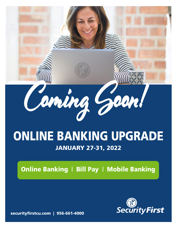

## JANUARY 27-31, 2022 ONLINE BANKING UPGRADE

Online Banking | Bill Pay | Mobile Banking



securityfirstcu.com | 956-661-4000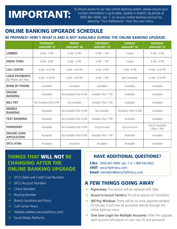# IMPORTANT:

To ensure access to our new online banking system, please ensure your contact information is up-to-date. Update in-branch, by phone at (956) 661-4000, opt. 7, or via your online banking account by selecting "Your Preferences" from the main menu.

### ONLINE BANKING UPGRADE SCHEDULE

#### **BE PREPARED! HERE'S WHAT IS AND IS NOT AVAILABLE DURING THE ONLINE BANKING UPGRADE.**

|                                              | <b>THURSDAY</b><br><b>JANUARY 27</b> | <b>FRIDAY</b><br><b>JANUARY 28</b> | <b>SATURDAY</b><br><b>JANUARY 29</b> | <b>SUNDAY</b><br><b>JANUARY 30</b> | <b>MONDAY</b><br><b>JANUARY 31</b>   |
|----------------------------------------------|--------------------------------------|------------------------------------|--------------------------------------|------------------------------------|--------------------------------------|
| <b>LOBBIES</b>                               | 9 AM - 5 PM                          | 9 AM - 6 PM                        | 9 AM - 1 PM                          | Closed                             | 9 AM - 5 PM                          |
| <b>DRIVE-THRU</b>                            | 8 AM - 6 PM                          | 8 AM - 6 PM                        | 9 AM - 1 PM                          | Closed                             | 8 AM - 6 PM                          |
| <b>CALL CENTER</b>                           | 8 AM - 6:30 PM                       | 8 AM - 6:30 PM                     | 9 AM - 8 PM                          | 9 AM - 6 PM                        | 8 AM - 6:30 PM                       |
| <b>LOAN PAYMENTS</b><br>(By Phone: \$15 Fee) | 8 AM - 6:30 PM                       | 8 AM - 6:30 PM                     | 9 AM - 2 PM                          | Not Available                      | 8 AM - 6:30 PM                       |
| <b>BANK BY PHONE</b>                         | Available                            | Available                          | Available                            | Available                          | Available                            |
| <b>ONLINE</b><br><b>BANKING</b>              | Available                            | Not Available After 8 AM           | Available After 1 PM                 | Available                          | Available                            |
| <b>BILL PAY</b>                              | Not Available After 8 PM             | Not Available                      | Available After 1 PM                 | Available                          | Available                            |
| <b>MOBILE</b><br><b>BANKING</b>              | Available                            | Not Available After 8 AM           | Not Available                        | Available After 9 AM               | Available                            |
| <b>TEXT BANKING</b>                          | Available                            | Not Available After 8 AM           | Available After 1 PM                 | Available                          | Available                            |
| <b>POPMONEY</b>                              | Available                            | Not Available After 8 AM           | Discontinued                         | Discontinued                       | <b>ZELLE Available</b><br>After 1 PM |
| <b>ONLINE LOAN</b><br><b>APPLICATION</b>     | Available                            | Not Available After 8 AM           | Available After 1 PM                 | Available                          | Available                            |
| <b>SFCU ATMs</b>                             | Available                            | Available                          | Available                            | Available                          | Available                            |

### THINGS THAT WILL NOT BE CHANGING AFTER THE ONLINE BANKING UPGRADE

- $\rightarrow$  SFCU Debit and Credit Card Numbers
- $\rightarrow$  SFCU Account Numbers
- $\rightarrow$  Check Numbers
- $\rightarrow$  Routing Number
- $\rightarrow$  Branch Locations and Hours
- $\rightarrow$  Call Center Hours
- $\rightarrow$  Website address (securityfirstcu.com)
- $\rightarrow$  Social Media Platforms

### HAVE ADDITIONAL QUESTIONS?

- CALL (956) 661-4000, opt. 7 or 1-800-556-0422
- VISIT securityfirstcu.com
- Email members@securityfirstcu.com

### A FEW THINGS GOING AWAY

- $\rightarrow$  **Popmoney:** This service will be replaced with Zelle
- $\rightarrow$  **Account to Account Transfer:s:** This will be replaced with TransferNow
- $\rightarrow$  **Bill Pay Window:** There will be no more separate window for bill pay. It will now be accessible directly through the online banking menu.
- → One User Login for Multiple Accounts: After the upgrade, each account will require its own User ID and password.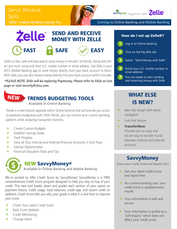Send. Receive. Split. Zelle<sup>®</sup> makes sending money fun.





Zelle is a fast, safe and easy way to send money in minutes<sup>1</sup> to friends, family and others you trust, using only their U.S. mobile number or email address. Use Zelle in your SFCU Mobile Banking app to send money directly from your bank account to theirs. With Zelle, you can also receive money directly into your bank account within minutes.

*\*PLEASE NOTE: Zelle will be replacing Popmoney. Please refer to FAQs on last page or visit securityfirstcu.com.*



### TRENDS BUDGETING TOOLS

Available In Online Banking

Trends is a new feature upgrade within Online banking that will provide you access to awesome budgeting tools! With Trends, you can monitor your current spending patterns while analyzing transaction histories.

- $\rightarrow$  Create Custom Budgets
- $\rightarrow$  Establish Savings Goals
- $\rightarrow$  Track Progress
- $\rightarrow$  View all Your Internal and External Financial Accounts in One Place
- $\rightarrow$  Savings Opportunities
- $\rightarrow$  Financial Education Tools and Tips



### NEW SavvyMoney®

Available In Online Banking and Mobile Banking  $\rightarrow$  Get your latest credit score

We're excited to offer Credit Score by SavvyMoney! SavvyMoney is a FREE comprehensive Credit Score program designed to help you stay on top of your credit. This new tool breaks down and grades each section of your report on payment history, credit usage, total balances, credit age, and recent credit. In addition, Credit Score tells you why your grade is what it is and how to improve your score.

- $\rightarrow$  Check Your Latest Credit Score
- $\rightarrow$  Daily Score Updates
- $\rightarrow$  Credit Monitoring
- $\rightarrow$  Change Alerts

Security First together with Zelle<sup>®</sup>

| 1 Log in to Online banking          |
|-------------------------------------|
| (2) Click on the Pay Bills tab      |
| 3 Select "Send Money with Zelle"    |
| 4 Enroll your U.S. mobile number of |

- **4** Enroll your U.S. mobile number or email address
- **5** You are ready to start sending and receiving money with Zelle

## WHAT ELSE IS NEW?

- $\rightarrow$  New site design with easier navigation
- $\rightarrow$  Live chat feature
- $\rightarrow$  TransferNow Provides you an easy and

secure way to transfer funds between internal and external accounts.

### **SavvyMoney**

Check your Credit Score and Report 24/7

- and report free
- $\rightarrow$  As a online banking user, your credit score is updated every month
- $\rightarrow$  Your information is safe and secure
- $\rightarrow$  Your information is pulled as a 'Soft Inquiry'' which does not affect your credit score